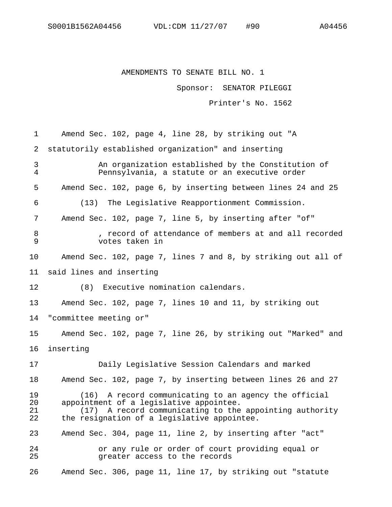## AMENDMENTS TO SENATE BILL NO. 1

Sponsor: SENATOR PILEGGI

Printer's No. 1562

| 1                    | Amend Sec. 102, page 4, line 28, by striking out "A                                                                                                                                                           |
|----------------------|---------------------------------------------------------------------------------------------------------------------------------------------------------------------------------------------------------------|
| 2                    | statutorily established organization" and inserting                                                                                                                                                           |
| 3<br>$\overline{4}$  | An organization established by the Constitution of<br>Pennsylvania, a statute or an executive order                                                                                                           |
| 5                    | Amend Sec. 102, page 6, by inserting between lines 24 and 25                                                                                                                                                  |
| 6                    | (13)<br>The Legislative Reapportionment Commission.                                                                                                                                                           |
| 7                    | Amend Sec. 102, page 7, line 5, by inserting after "of"                                                                                                                                                       |
| 8<br>9               | , record of attendance of members at and all recorded<br>votes taken in                                                                                                                                       |
| 10                   | Amend Sec. 102, page 7, lines 7 and 8, by striking out all of                                                                                                                                                 |
| 11                   | said lines and inserting                                                                                                                                                                                      |
| 12                   | (8)<br>Executive nomination calendars.                                                                                                                                                                        |
| 13                   | Amend Sec. 102, page 7, lines 10 and 11, by striking out                                                                                                                                                      |
| 14                   | "committee meeting or"                                                                                                                                                                                        |
| 15                   | Amend Sec. 102, page 7, line 26, by striking out "Marked" and                                                                                                                                                 |
| 16                   | inserting                                                                                                                                                                                                     |
| 17                   | Daily Legislative Session Calendars and marked                                                                                                                                                                |
| 18                   | Amend Sec. 102, page 7, by inserting between lines 26 and 27                                                                                                                                                  |
| 19<br>20<br>21<br>22 | A record communicating to an agency the official<br>(16)<br>appointment of a legislative appointee.<br>(17) A record communicating to the appointing authority<br>the resignation of a legislative appointee. |
| 23                   | Amend Sec. 304, page 11, line 2, by inserting after "act"                                                                                                                                                     |
| 24<br>25             | or any rule or order of court providing equal or<br>greater access to the records                                                                                                                             |
| 26                   | Amend Sec. 306, page 11, line 17, by striking out "statute                                                                                                                                                    |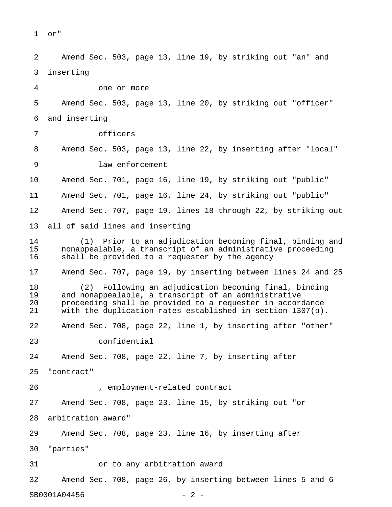```
1 or"
```
2 Amend Sec. 503, page 13, line 19, by striking out "an" and 3 inserting 4 one or more 5 Amend Sec. 503, page 13, line 20, by striking out "officer" 6 and inserting 7 officers 8 Amend Sec. 503, page 13, line 22, by inserting after "local" 9 law enforcement 10 Amend Sec. 701, page 16, line 19, by striking out "public" 11 Amend Sec. 701, page 16, line 24, by striking out "public" 12 Amend Sec. 707, page 19, lines 18 through 22, by striking out 13 all of said lines and inserting 14 (1) Prior to an adjudication becoming final, binding and 15 nonappealable, a transcript of an administrative proceeding 16 shall be provided to a requester by the agency 17 Amend Sec. 707, page 19, by inserting between lines 24 and 25 18 (2) Following an adjudication becoming final, binding and nonappealable, a transcript of an administrative 20 proceeding shall be provided to a requester in accordance 21 with the duplication rates established in section 1307(b). 22 Amend Sec. 708, page 22, line 1, by inserting after "other" 23 confidential 24 Amend Sec. 708, page 22, line 7, by inserting after 25 "contract" 26 , employment-related contract 27 Amend Sec. 708, page 23, line 15, by striking out "or 28 arbitration award" 29 Amend Sec. 708, page 23, line 16, by inserting after 30 "parties" 31 or to any arbitration award 32 Amend Sec. 708, page 26, by inserting between lines 5 and 6

SB0001A04456 - 2 -